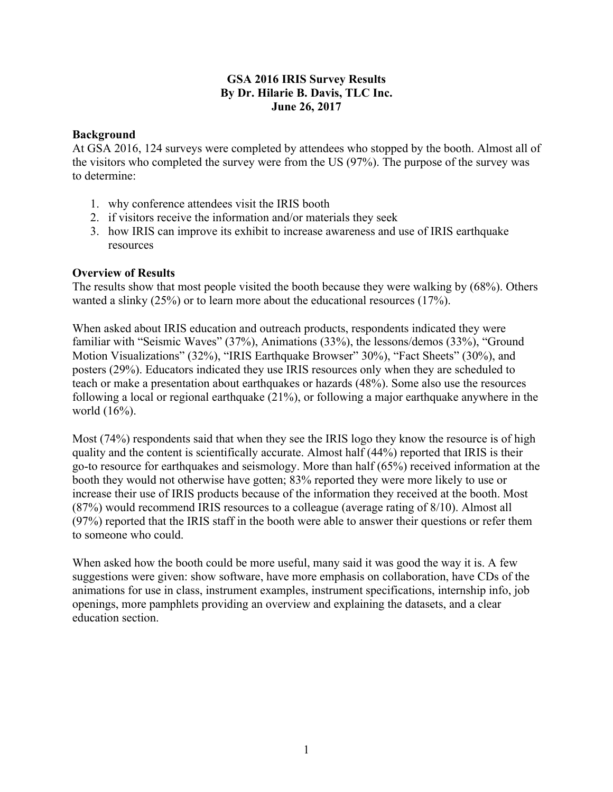# **GSA 2016 IRIS Survey Results By Dr. Hilarie B. Davis, TLC Inc. June 26, 2017**

## **Background**

At GSA 2016, 124 surveys were completed by attendees who stopped by the booth. Almost all of the visitors who completed the survey were from the US (97%). The purpose of the survey was to determine:

- 1. why conference attendees visit the IRIS booth
- 2. if visitors receive the information and/or materials they seek
- 3. how IRIS can improve its exhibit to increase awareness and use of IRIS earthquake resources

### **Overview of Results**

The results show that most people visited the booth because they were walking by (68%). Others wanted a slinky (25%) or to learn more about the educational resources (17%).

When asked about IRIS education and outreach products, respondents indicated they were familiar with "Seismic Waves" (37%), Animations (33%), the lessons/demos (33%), "Ground Motion Visualizations" (32%), "IRIS Earthquake Browser" 30%), "Fact Sheets" (30%), and posters (29%). Educators indicated they use IRIS resources only when they are scheduled to teach or make a presentation about earthquakes or hazards (48%). Some also use the resources following a local or regional earthquake (21%), or following a major earthquake anywhere in the world (16%).

Most (74%) respondents said that when they see the IRIS logo they know the resource is of high quality and the content is scientifically accurate. Almost half (44%) reported that IRIS is their go-to resource for earthquakes and seismology. More than half (65%) received information at the booth they would not otherwise have gotten; 83% reported they were more likely to use or increase their use of IRIS products because of the information they received at the booth. Most (87%) would recommend IRIS resources to a colleague (average rating of 8/10). Almost all (97%) reported that the IRIS staff in the booth were able to answer their questions or refer them to someone who could.

When asked how the booth could be more useful, many said it was good the way it is. A few suggestions were given: show software, have more emphasis on collaboration, have CDs of the animations for use in class, instrument examples, instrument specifications, internship info, job openings, more pamphlets providing an overview and explaining the datasets, and a clear education section.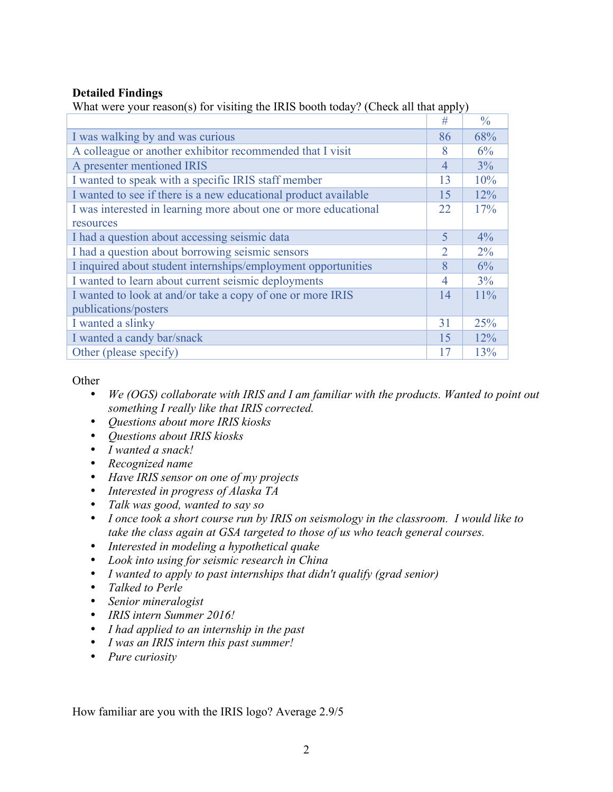# **Detailed Findings**

|                                                                 | #  | $\frac{0}{0}$ |
|-----------------------------------------------------------------|----|---------------|
| I was walking by and was curious                                | 86 | 68%           |
| A colleague or another exhibitor recommended that I visit       | 8  | 6%            |
| A presenter mentioned IRIS                                      | 4  | 3%            |
| I wanted to speak with a specific IRIS staff member             | 13 | 10%           |
| I wanted to see if there is a new educational product available | 15 | 12%           |
| I was interested in learning more about one or more educational | 22 | 17%           |
| resources                                                       |    |               |
| I had a question about accessing seismic data                   | 5  | 4%            |
| I had a question about borrowing seismic sensors                | 2  | $2\%$         |
| I inquired about student internships/employment opportunities   | 8  | 6%            |
| I wanted to learn about current seismic deployments             | 4  | 3%            |
| I wanted to look at and/or take a copy of one or more IRIS      |    | 11%           |
| publications/posters                                            |    |               |
| I wanted a slinky                                               | 31 | 25%           |
| I wanted a candy bar/snack                                      | 15 | 12%           |
| Other (please specify)                                          | 17 | 13%           |

What were your reason(s) for visiting the IRIS booth today? (Check all that apply)

## **Other**

- *We (OGS) collaborate with IRIS and I am familiar with the products. Wanted to point out something I really like that IRIS corrected.*
- *Questions about more IRIS kiosks*
- *Questions about IRIS kiosks*
- *I wanted a snack!*
- *Recognized name*
- *Have IRIS sensor on one of my projects*
- *Interested in progress of Alaska TA*
- *Talk was good, wanted to say so*
- *I once took a short course run by IRIS on seismology in the classroom. I would like to take the class again at GSA targeted to those of us who teach general courses.*
- *Interested in modeling a hypothetical quake*
- *Look into using for seismic research in China*
- *I wanted to apply to past internships that didn't qualify (grad senior)*
- *Talked to Perle*
- *Senior mineralogist*
- *IRIS intern Summer 2016!*
- *I had applied to an internship in the past*
- *I was an IRIS intern this past summer!*
- *Pure curiosity*

How familiar are you with the IRIS logo? Average 2.9/5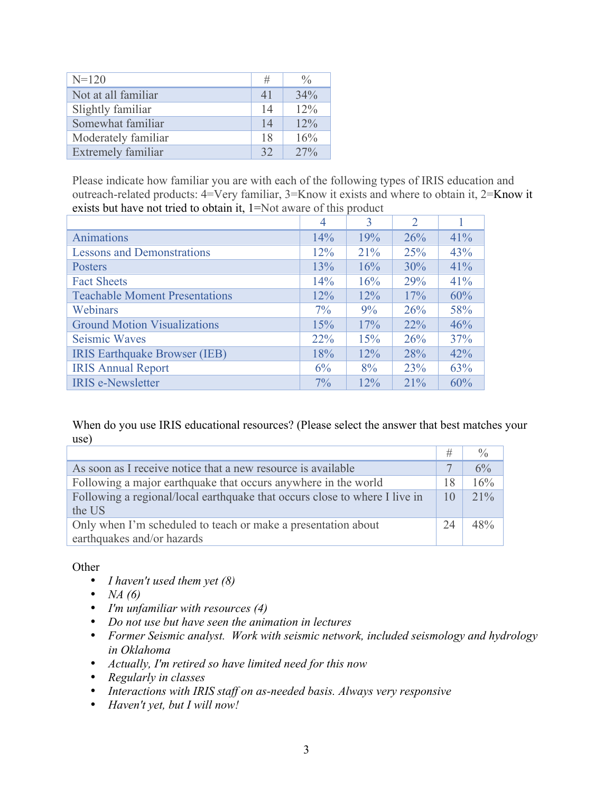| $N=120$             | #  | $\frac{0}{0}$ |
|---------------------|----|---------------|
| Not at all familiar | 41 | 34%           |
| Slightly familiar   | 14 | 12%           |
| Somewhat familiar   | 14 | 12%           |
| Moderately familiar | 18 | 16%           |
| Extremely familiar  | 32 | $27\%$        |

Please indicate how familiar you are with each of the following types of IRIS education and outreach-related products: 4=Very familiar, 3=Know it exists and where to obtain it, 2=Know it exists but have not tried to obtain it, 1=Not aware of this product

|                                       | 4     | 3      | $\overline{2}$ |     |
|---------------------------------------|-------|--------|----------------|-----|
| Animations                            | 14%   | 19%    | 26%            | 41% |
| <b>Lessons and Demonstrations</b>     | 12%   | 21%    | 25%            | 43% |
| Posters                               | 13%   | 16%    | 30%            | 41% |
| <b>Fact Sheets</b>                    | 14%   | 16%    | 29%            | 41% |
| <b>Teachable Moment Presentations</b> | 12%   | 12%    | 17%            | 60% |
| Webinars                              | $7\%$ | 9%     | 26%            | 58% |
| <b>Ground Motion Visualizations</b>   | 15%   | 17%    | 22%            | 46% |
| <b>Seismic Waves</b>                  | 22%   | 15%    | 26%            | 37% |
| <b>IRIS Earthquake Browser (IEB)</b>  | 18%   | 12%    | 28%            | 42% |
| <b>IRIS Annual Report</b>             | 6%    | 8%     | 23%            | 63% |
| <b>IRIS</b> e-Newsletter              | $7\%$ | $12\%$ | $21\%$         | 60% |

When do you use IRIS educational resources? (Please select the answer that best matches your use)

|                                                                                             | #  |        |
|---------------------------------------------------------------------------------------------|----|--------|
| As soon as I receive notice that a new resource is available                                |    | 6%     |
| Following a major earthquake that occurs anywhere in the world                              | 18 | 16%    |
| Following a regional/local earthquake that occurs close to where I live in<br>the US        | 10 | $21\%$ |
| Only when I'm scheduled to teach or make a presentation about<br>earthquakes and/or hazards | 24 | 48%    |

**Other** 

- *I haven't used them yet (8)*
- *NA (6)*
- *I'm unfamiliar with resources (4)*
- *Do not use but have seen the animation in lectures*
- *Former Seismic analyst. Work with seismic network, included seismology and hydrology in Oklahoma*
- *Actually, I'm retired so have limited need for this now*
- *Regularly in classes*
- *Interactions with IRIS staff on as-needed basis. Always very responsive*
- *Haven't yet, but I will now!*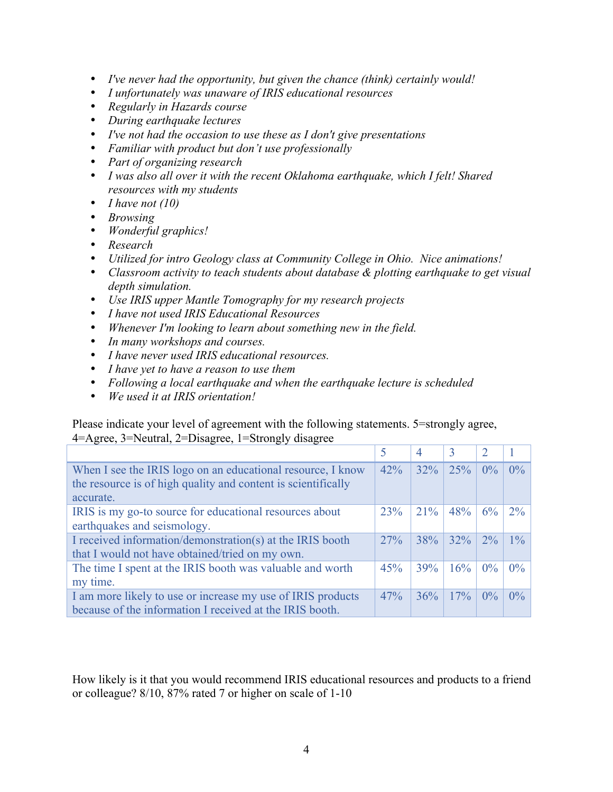- *I've never had the opportunity, but given the chance (think) certainly would!*
- *I unfortunately was unaware of IRIS educational resources*
- *Regularly in Hazards course*
- *During earthquake lectures*
- *I've not had the occasion to use these as I don't give presentations*
- *Familiar with product but don't use professionally*
- *Part of organizing research*
- *I was also all over it with the recent Oklahoma earthquake, which I felt! Shared resources with my students*
- *I have not (10)*
- *Browsing*
- *Wonderful graphics!*
- *Research*
- *Utilized for intro Geology class at Community College in Ohio. Nice animations!*
- *Classroom activity to teach students about database & plotting earthquake to get visual depth simulation.*
- *Use IRIS upper Mantle Tomography for my research projects*
- *I have not used IRIS Educational Resources*
- *Whenever I'm looking to learn about something new in the field.*
- *In many workshops and courses.*
- *I have never used IRIS educational resources.*
- *I have yet to have a reason to use them*
- *Following a local earthquake and when the earthquake lecture is scheduled*
- *We used it at IRIS orientation!*

Please indicate your level of agreement with the following statements. 5=strongly agree, 4=Agree, 3=Neutral, 2=Disagree, 1=Strongly disagree

|                                                                                                                                           |     | 4      |        |       |       |
|-------------------------------------------------------------------------------------------------------------------------------------------|-----|--------|--------|-------|-------|
| When I see the IRIS logo on an educational resource, I know<br>the resource is of high quality and content is scientifically<br>accurate. | 42% | 32%    | 25%    | $0\%$ | $0\%$ |
| IRIS is my go-to source for educational resources about<br>earthquakes and seismology.                                                    | 23% | $21\%$ | 48%    | 6%    | $2\%$ |
| I received information/demonstration(s) at the IRIS booth<br>that I would not have obtained/tried on my own.                              | 27% | 38%    | $32\%$ | $2\%$ | $1\%$ |
| The time I spent at the IRIS booth was valuable and worth<br>my time.                                                                     | 45% | 39%    | 16%    | $0\%$ | $0\%$ |
| I am more likely to use or increase my use of IRIS products<br>because of the information I received at the IRIS booth.                   | 47% | 36%    | 17%    | $0\%$ | $0\%$ |

How likely is it that you would recommend IRIS educational resources and products to a friend or colleague? 8/10, 87% rated 7 or higher on scale of 1-10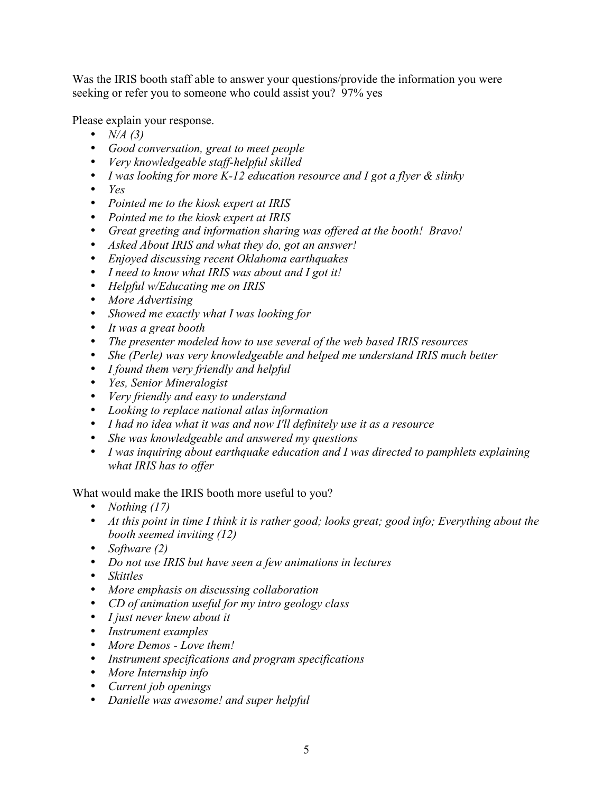Was the IRIS booth staff able to answer your questions/provide the information you were seeking or refer you to someone who could assist you? 97% yes

Please explain your response.

- *N/A (3)*
- *Good conversation, great to meet people*
- *Very knowledgeable staff-helpful skilled*
- *I was looking for more K-12 education resource and I got a flyer & slinky*
- *Yes*
- *Pointed me to the kiosk expert at IRIS*
- *Pointed me to the kiosk expert at IRIS*
- *Great greeting and information sharing was offered at the booth! Bravo!*
- *Asked About IRIS and what they do, got an answer!*
- *Enjoyed discussing recent Oklahoma earthquakes*
- *I need to know what IRIS was about and I got it!*
- *Helpful w/Educating me on IRIS*
- *More Advertising*
- *Showed me exactly what I was looking for*
- *It was a great booth*
- *The presenter modeled how to use several of the web based IRIS resources*
- *She (Perle) was very knowledgeable and helped me understand IRIS much better*
- *I found them very friendly and helpful*
- *Yes, Senior Mineralogist*
- *Very friendly and easy to understand*
- *Looking to replace national atlas information*
- *I had no idea what it was and now I'll definitely use it as a resource*
- *She was knowledgeable and answered my questions*
- *I was inquiring about earthquake education and I was directed to pamphlets explaining what IRIS has to offer*

What would make the IRIS booth more useful to you?

- *Nothing (17)*
- *At this point in time I think it is rather good; looks great; good info; Everything about the booth seemed inviting (12)*
- *Software (2)*
- *Do not use IRIS but have seen a few animations in lectures*
- *Skittles*
- *More emphasis on discussing collaboration*
- *CD of animation useful for my intro geology class*
- *I just never knew about it*
- *Instrument examples*
- *More Demos Love them!*
- *Instrument specifications and program specifications*
- *More Internship info*
- *Current job openings*
- *Danielle was awesome! and super helpful*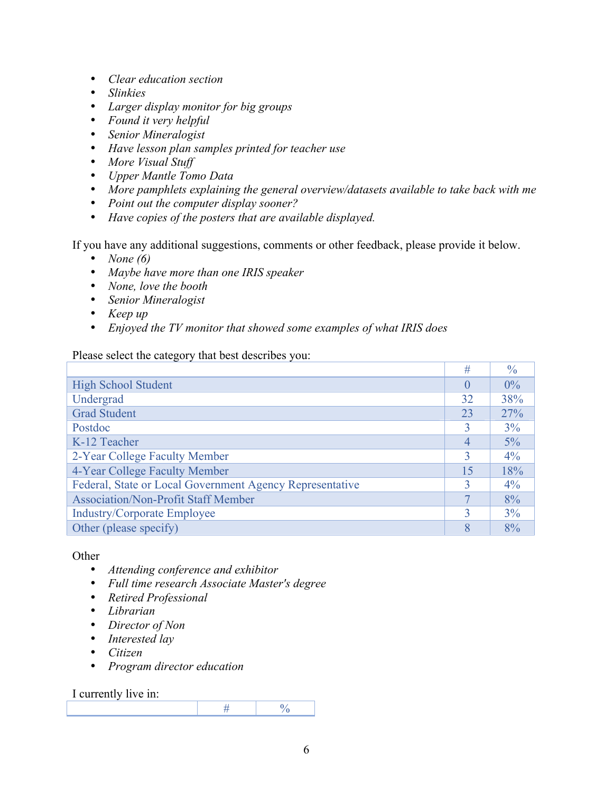- *Clear education section*
- *Slinkies*
- *Larger display monitor for big groups*
- *Found it very helpful*
- *Senior Mineralogist*
- *Have lesson plan samples printed for teacher use*
- *More Visual Stuff*
- *Upper Mantle Tomo Data*
- *More pamphlets explaining the general overview/datasets available to take back with me*
- *Point out the computer display sooner?*
- *Have copies of the posters that are available displayed.*

If you have any additional suggestions, comments or other feedback, please provide it below.

- *None (6)*
- *Maybe have more than one IRIS speaker*
- *None, love the booth*
- *Senior Mineralogist*
- *Keep up*
- *Enjoyed the TV monitor that showed some examples of what IRIS does*

#### Please select the category that best describes you:

|                                                          | #        | $\frac{0}{0}$ |
|----------------------------------------------------------|----------|---------------|
| <b>High School Student</b>                               | $\Omega$ | $0\%$         |
| Undergrad                                                | 32       | 38%           |
| <b>Grad Student</b>                                      | 23       | 27%           |
| Postdoc                                                  | 3        | 3%            |
| K-12 Teacher                                             | 4        | $5\%$         |
| 2-Year College Faculty Member                            | 3        | $4\%$         |
| 4-Year College Faculty Member                            | 15       | 18%           |
| Federal, State or Local Government Agency Representative | 3        | $4\%$         |
| <b>Association/Non-Profit Staff Member</b>               | 7        | 8%            |
| <b>Industry/Corporate Employee</b>                       | 3        | 3%            |
| Other (please specify)                                   | 8        | 8%            |

**Other** 

- *Attending conference and exhibitor*
- *Full time research Associate Master's degree*
- *Retired Professional*
- *Librarian*
- *Director of Non*
- *Interested lay*
- *Citizen*
- *Program director education*

#### I currently live in: